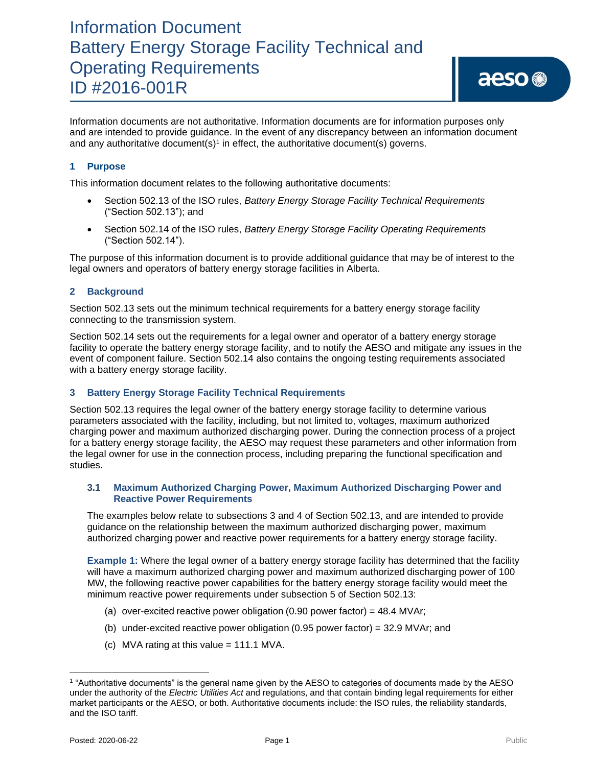# Information Document Battery Energy Storage Facility Technical and Operating Requirements ID #2016-001R

Information documents are not authoritative. Information documents are for information purposes only and are intended to provide guidance. In the event of any discrepancy between an information document and any authoritative document(s)<sup>1</sup> in effect, the authoritative document(s) governs.

### **1 Purpose**

This information document relates to the following authoritative documents:

- Section 502.13 of the ISO rules, *Battery Energy Storage Facility Technical Requirements* ("Section 502.13"); and
- Section 502.14 of the ISO rules, *Battery Energy Storage Facility Operating Requirements* ("Section 502.14").

The purpose of this information document is to provide additional guidance that may be of interest to the legal owners and operators of battery energy storage facilities in Alberta.

### **2 Background**

Section 502.13 sets out the minimum technical requirements for a battery energy storage facility connecting to the transmission system.

Section 502.14 sets out the requirements for a legal owner and operator of a battery energy storage facility to operate the battery energy storage facility, and to notify the AESO and mitigate any issues in the event of component failure. Section 502.14 also contains the ongoing testing requirements associated with a battery energy storage facility.

### **3 Battery Energy Storage Facility Technical Requirements**

Section 502.13 requires the legal owner of the battery energy storage facility to determine various parameters associated with the facility, including, but not limited to, voltages, maximum authorized charging power and maximum authorized discharging power. During the connection process of a project for a battery energy storage facility, the AESO may request these parameters and other information from the legal owner for use in the connection process, including preparing the functional specification and studies.

#### **3.1 Maximum Authorized Charging Power, Maximum Authorized Discharging Power and Reactive Power Requirements**

The examples below relate to subsections 3 and 4 of Section 502.13, and are intended to provide guidance on the relationship between the maximum authorized discharging power, maximum authorized charging power and reactive power requirements for a battery energy storage facility.

**Example 1:** Where the legal owner of a battery energy storage facility has determined that the facility will have a maximum authorized charging power and maximum authorized discharging power of 100 MW, the following reactive power capabilities for the battery energy storage facility would meet the minimum reactive power requirements under subsection 5 of Section 502.13:

- (a) over-excited reactive power obligation (0.90 power factor) =  $48.4$  MVAr;
- (b) under-excited reactive power obligation (0.95 power factor) =  $32.9$  MVAr; and
- (c) MVA rating at this value  $= 111.1$  MVA.

<sup>1</sup> "Authoritative documents" is the general name given by the AESO to categories of documents made by the AESO under the authority of the *Electric Utilities Act* and regulations, and that contain binding legal requirements for either market participants or the AESO, or both. Authoritative documents include: the ISO rules, the reliability standards, and the ISO tariff.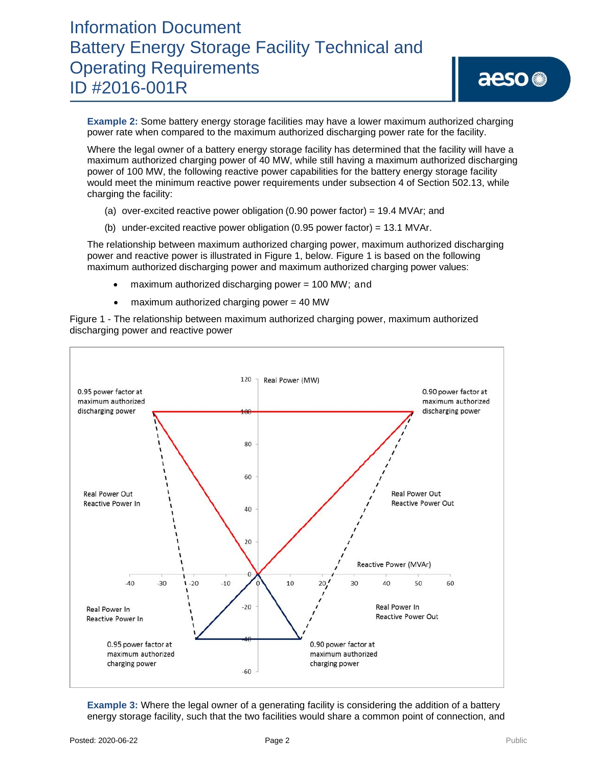# Information Document Battery Energy Storage Facility Technical and Operating Requirements ID #2016-001R

**Example 2:** Some battery energy storage facilities may have a lower maximum authorized charging power rate when compared to the maximum authorized discharging power rate for the facility.

Where the legal owner of a battery energy storage facility has determined that the facility will have a maximum authorized charging power of 40 MW, while still having a maximum authorized discharging power of 100 MW, the following reactive power capabilities for the battery energy storage facility would meet the minimum reactive power requirements under subsection 4 of Section 502.13, while charging the facility:

- (a) over-excited reactive power obligation  $(0.90$  power factor) = 19.4 MVAr; and
- (b) under-excited reactive power obligation (0.95 power factor) = 13.1 MVAr.

The relationship between maximum authorized charging power, maximum authorized discharging power and reactive power is illustrated in Figure 1, below. Figure 1 is based on the following maximum authorized discharging power and maximum authorized charging power values:

- maximum authorized discharging power = 100 MW; and
- maximum authorized charging power = 40 MW

Figure 1 - The relationship between maximum authorized charging power, maximum authorized discharging power and reactive power



**Example 3:** Where the legal owner of a generating facility is considering the addition of a battery energy storage facility, such that the two facilities would share a common point of connection, and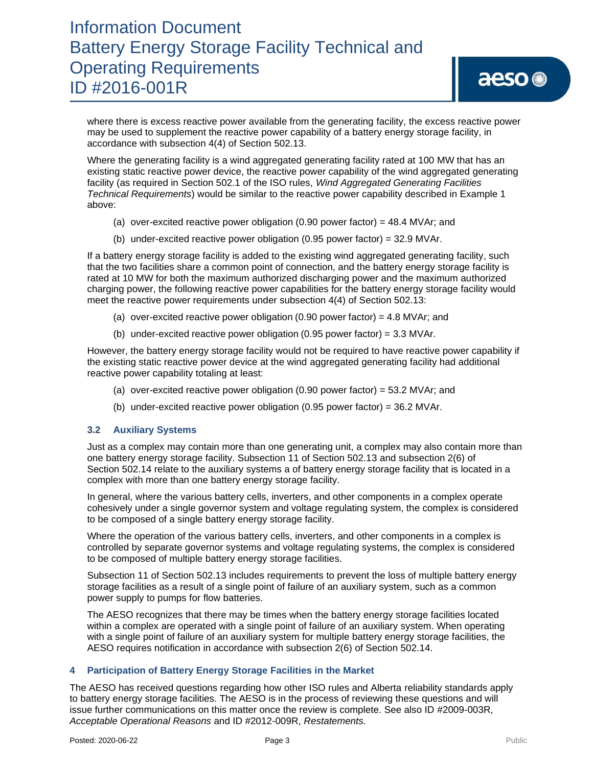# Information Document Battery Energy Storage Facility Technical and Operating Requirements ID #2016-001R

where there is excess reactive power available from the generating facility, the excess reactive power may be used to supplement the reactive power capability of a battery energy storage facility, in accordance with subsection 4(4) of Section 502.13.

Where the generating facility is a wind aggregated generating facility rated at 100 MW that has an existing static reactive power device, the reactive power capability of the wind aggregated generating facility (as required in Section 502.1 of the ISO rules, *Wind Aggregated Generating Facilities Technical Requirements*) would be similar to the reactive power capability described in Example 1 above:

- (a) over-excited reactive power obligation (0.90 power factor) = 48.4 MVAr; and
- (b) under-excited reactive power obligation (0.95 power factor) = 32.9 MVAr.

If a battery energy storage facility is added to the existing wind aggregated generating facility, such that the two facilities share a common point of connection, and the battery energy storage facility is rated at 10 MW for both the maximum authorized discharging power and the maximum authorized charging power, the following reactive power capabilities for the battery energy storage facility would meet the reactive power requirements under subsection 4(4) of Section 502.13:

- (a) over-excited reactive power obligation (0.90 power factor) = 4.8 MVAr; and
- (b) under-excited reactive power obligation (0.95 power factor) =  $3.3$  MVAr.

However, the battery energy storage facility would not be required to have reactive power capability if the existing static reactive power device at the wind aggregated generating facility had additional reactive power capability totaling at least:

- (a) over-excited reactive power obligation (0.90 power factor) = 53.2 MVAr; and
- (b) under-excited reactive power obligation (0.95 power factor) = 36.2 MVAr.

### **3.2 Auxiliary Systems**

Just as a complex may contain more than one generating unit, a complex may also contain more than one battery energy storage facility. Subsection 11 of Section 502.13 and subsection 2(6) of Section 502.14 relate to the auxiliary systems a of battery energy storage facility that is located in a complex with more than one battery energy storage facility.

In general, where the various battery cells, inverters, and other components in a complex operate cohesively under a single governor system and voltage regulating system, the complex is considered to be composed of a single battery energy storage facility.

Where the operation of the various battery cells, inverters, and other components in a complex is controlled by separate governor systems and voltage regulating systems, the complex is considered to be composed of multiple battery energy storage facilities.

Subsection 11 of Section 502.13 includes requirements to prevent the loss of multiple battery energy storage facilities as a result of a single point of failure of an auxiliary system, such as a common power supply to pumps for flow batteries.

The AESO recognizes that there may be times when the battery energy storage facilities located within a complex are operated with a single point of failure of an auxiliary system. When operating with a single point of failure of an auxiliary system for multiple battery energy storage facilities, the AESO requires notification in accordance with subsection 2(6) of Section 502.14.

### **4 Participation of Battery Energy Storage Facilities in the Market**

The AESO has received questions regarding how other ISO rules and Alberta reliability standards apply to battery energy storage facilities. The AESO is in the process of reviewing these questions and will issue further communications on this matter once the review is complete. See also ID #2009-003R, *Acceptable Operational Reasons* and ID #2012-009R, *Restatements.*